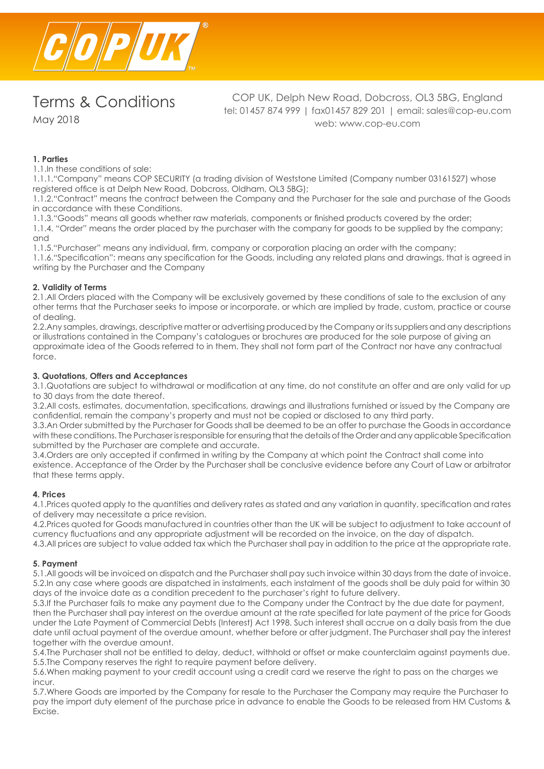

May 2018

COP UK, Delph New Road, Dobcross, OL3 5BG, England tel: 01457 874 999 | fax01457 829 201 | email: sales@cop-eu.com web: www.cop-eu.com

## **1. Parties**

1.1.In these conditions of sale:

1.1.1."Company" means COP SECURITY (a trading division of Weststone Limited (Company number 03161527) whose registered office is at Delph New Road, Dobcross, Oldham, OL3 5BG);

1.1.2."Contract" means the contract between the Company and the Purchaser for the sale and purchase of the Goods in accordance with these Conditions.

1.1.3."Goods" means all goods whether raw materials, components or finished products covered by the order;

1.1.4. "Order" means the order placed by the purchaser with the company for goods to be supplied by the company; and

1.1.5."Purchaser" means any individual, firm, company or corporation placing an order with the company; 1.1.6."Specification": means any specification for the Goods, including any related plans and drawings, that is agreed in writing by the Purchaser and the Company

## **2. Validity of Terms**

2.1.All Orders placed with the Company will be exclusively governed by these conditions of sale to the exclusion of any other terms that the Purchaser seeks to impose or incorporate, or which are implied by trade, custom, practice or course of dealing.

2.2.Any samples, drawings, descriptive matter or advertising produced by the Company or its suppliers and any descriptions or illustrations contained in the Company's catalogues or brochures are produced for the sole purpose of giving an approximate idea of the Goods referred to in them. They shall not form part of the Contract nor have any contractual force.

## **3. Quotations, Offers and Acceptances**

3.1.Quotations are subject to withdrawal or modification at any time, do not constitute an offer and are only valid for up to 30 days from the date thereof.

3.2.All costs, estimates, documentation, specifications, drawings and illustrations furnished or issued by the Company are confidential, remain the company's property and must not be copied or disclosed to any third party.

3.3.An Order submitted by the Purchaser for Goods shall be deemed to be an offer to purchase the Goods in accordance with these conditions. The Purchaser is responsible for ensuring that the details of the Order and any applicable Specification submitted by the Purchaser are complete and accurate.

3.4.Orders are only accepted if confirmed in writing by the Company at which point the Contract shall come into existence. Acceptance of the Order by the Purchaser shall be conclusive evidence before any Court of Law or arbitrator that these terms apply.

#### **4. Prices**

4.1.Prices quoted apply to the quantities and delivery rates as stated and any variation in quantity, specification and rates of delivery may necessitate a price revision.

4.2.Prices quoted for Goods manufactured in countries other than the UK will be subject to adjustment to take account of currency fluctuations and any appropriate adjustment will be recorded on the invoice, on the day of dispatch.

4.3.All prices are subject to value added tax which the Purchaser shall pay in addition to the price at the appropriate rate.

## **5. Payment**

5.1.All goods will be invoiced on dispatch and the Purchaser shall pay such invoice within 30 days from the date of invoice. 5.2.In any case where goods are dispatched in instalments, each instalment of the goods shall be duly paid for within 30 days of the invoice date as a condition precedent to the purchaser's right to future delivery.

5.3.If the Purchaser fails to make any payment due to the Company under the Contract by the due date for payment, then the Purchaser shall pay interest on the overdue amount at the rate specified for late payment of the price for Goods under the Late Payment of Commercial Debts (Interest) Act 1998. Such interest shall accrue on a daily basis from the due date until actual payment of the overdue amount, whether before or after judgment. The Purchaser shall pay the interest together with the overdue amount.

5.4.The Purchaser shall not be entitled to delay, deduct, withhold or offset or make counterclaim against payments due. 5.5.The Company reserves the right to require payment before delivery.

5.6.When making payment to your credit account using a credit card we reserve the right to pass on the charges we  $inc<sub>U</sub>$ 

5.7.Where Goods are imported by the Company for resale to the Purchaser the Company may require the Purchaser to pay the import duty element of the purchase price in advance to enable the Goods to be released from HM Customs & Excise.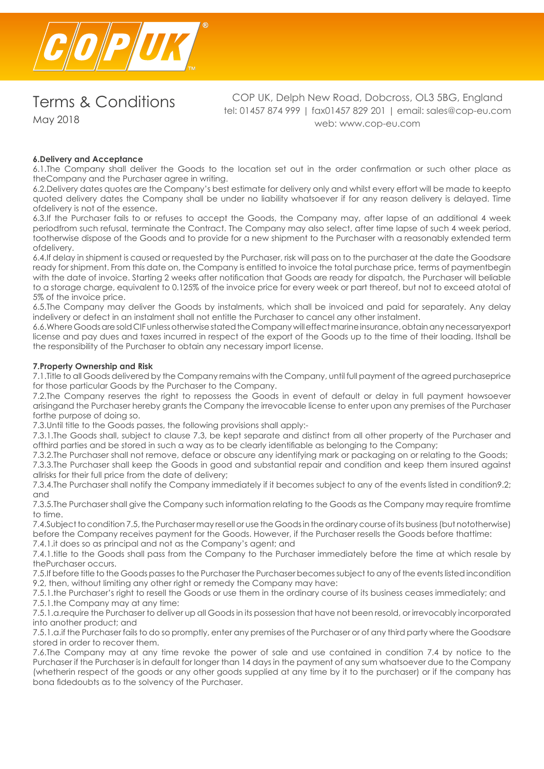

May 2018

COP UK, Delph New Road, Dobcross, OL3 5BG, England tel: 01457 874 999 | fax01457 829 201 | email: sales@cop-eu.com web: www.cop-eu.com

## **6.Delivery and Acceptance**

6.1.The Company shall deliver the Goods to the location set out in the order confirmation or such other place as theCompany and the Purchaser agree in writing.

6.2.Delivery dates quotes are the Company's best estimate for delivery only and whilst every effort will be made to keepto quoted delivery dates the Company shall be under no liability whatsoever if for any reason delivery is delayed. Time ofdelivery is not of the essence.

6.3.If the Purchaser fails to or refuses to accept the Goods, the Company may, after lapse of an additional 4 week periodfrom such refusal, terminate the Contract. The Company may also select, after time lapse of such 4 week period, tootherwise dispose of the Goods and to provide for a new shipment to the Purchaser with a reasonably extended term ofdelivery.

6.4.If delay in shipment is caused or requested by the Purchaser, risk will pass on to the purchaser at the date the Goodsare ready for shipment. From this date on, the Company is entitled to invoice the total purchase price, terms of paymentbegin with the date of invoice. Starting 2 weeks after notification that Goods are ready for dispatch, the Purchaser will beliable to a storage charge, equivalent to 0.125% of the invoice price for every week or part thereof, but not to exceed atotal of 5% of the invoice price.

6.5.The Company may deliver the Goods by instalments, which shall be invoiced and paid for separately. Any delay indelivery or defect in an instalment shall not entitle the Purchaser to cancel any other instalment.

6.6.Where Goods are sold CIF unless otherwise stated the Company will effect marine insurance, obtain any necessaryexport license and pay dues and taxes incurred in respect of the export of the Goods up to the time of their loading. Itshall be the responsibility of the Purchaser to obtain any necessary import license.

#### **7.Property Ownership and Risk**

7.1.Title to all Goods delivered by the Company remains with the Company, until full payment of the agreed purchaseprice for those particular Goods by the Purchaser to the Company.

7.2.The Company reserves the right to repossess the Goods in event of default or delay in full payment howsoever arisingand the Purchaser hereby grants the Company the irrevocable license to enter upon any premises of the Purchaser forthe purpose of doing so.

7.3.Until title to the Goods passes, the following provisions shall apply:-

7.3.1.The Goods shall, subject to clause 7.3, be kept separate and distinct from all other property of the Purchaser and ofthird parties and be stored in such a way as to be clearly identifiable as belonging to the Company;

7.3.2.The Purchaser shall not remove, deface or obscure any identifying mark or packaging on or relating to the Goods; 7.3.3.The Purchaser shall keep the Goods in good and substantial repair and condition and keep them insured against allrisks for their full price from the date of delivery;

7.3.4.The Purchaser shall notify the Company immediately if it becomes subject to any of the events listed in condition9.2; and

7.3.5.The Purchaser shall give the Company such information relating to the Goods as the Company may require fromtime to time.

7.4.Subject to condition 7.5, the Purchaser may resell or use the Goods in the ordinary course of its business (but nototherwise) before the Company receives payment for the Goods. However, if the Purchaser resells the Goods before thattime: 7.4.1.it does so as principal and not as the Company's agent; and

7.4.1.title to the Goods shall pass from the Company to the Purchaser immediately before the time at which resale by thePurchaser occurs.

7.5.If before title to the Goods passes to the Purchaser the Purchaser becomes subject to any of the events listed incondition 9.2, then, without limiting any other right or remedy the Company may have:

7.5.1.the Purchaser's right to resell the Goods or use them in the ordinary course of its business ceases immediately; and 7.5.1.the Company may at any time:

7.5.1.a.require the Purchaser to deliver up all Goods in its possession that have not been resold, or irrevocably incorporated into another product; and

7.5.1.a.if the Purchaser fails to do so promptly, enter any premises of the Purchaser or of any third party where the Goodsare stored in order to recover them.

7.6.The Company may at any time revoke the power of sale and use contained in condition 7.4 by notice to the Purchaser if the Purchaser is in default for longer than 14 days in the payment of any sum whatsoever due to the Company (whetherin respect of the goods or any other goods supplied at any time by it to the purchaser) or if the company has bona fidedoubts as to the solvency of the Purchaser.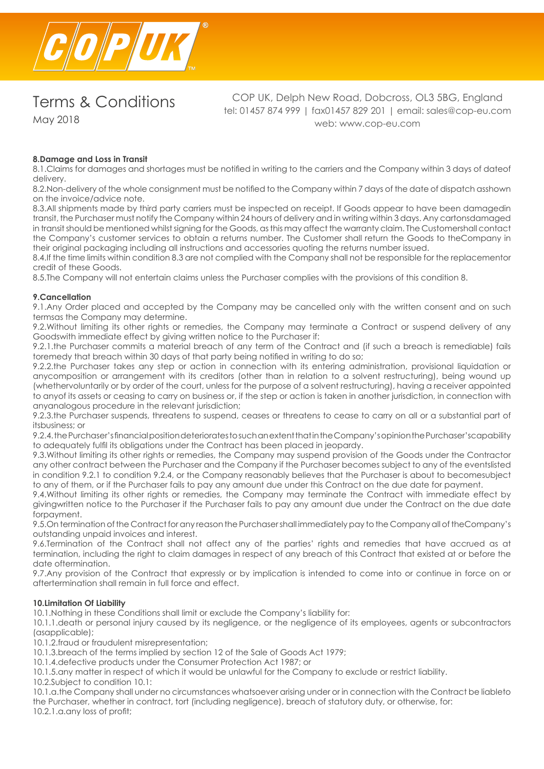

May 2018

COP UK, Delph New Road, Dobcross, OL3 5BG, England tel: 01457 874 999 | fax01457 829 201 | email: sales@cop-eu.com web: www.cop-eu.com

## **8.Damage and Loss in Transit**

8.1.Claims for damages and shortages must be notified in writing to the carriers and the Company within 3 days of dateof delivery.

8.2.Non-delivery of the whole consignment must be notified to the Company within 7 days of the date of dispatch asshown on the invoice/advice note.

8.3.All shipments made by third party carriers must be inspected on receipt. If Goods appear to have been damagedin transit, the Purchaser must notify the Company within 24 hours of delivery and in writing within 3 days. Any cartonsdamaged in transit should be mentioned whilst signing for the Goods, as this may affect the warranty claim. The Customershall contact the Company's customer services to obtain a returns number. The Customer shall return the Goods to theCompany in their original packaging including all instructions and accessories quoting the returns number issued.

8.4.If the time limits within condition 8.3 are not complied with the Company shall not be responsible for the replacementor credit of these Goods.

8.5.The Company will not entertain claims unless the Purchaser complies with the provisions of this condition 8.

## **9.Cancellation**

9.1.Any Order placed and accepted by the Company may be cancelled only with the written consent and on such termsas the Company may determine.

9.2.Without limiting its other rights or remedies, the Company may terminate a Contract or suspend delivery of any Goodswith immediate effect by giving written notice to the Purchaser if:

9.2.1.the Purchaser commits a material breach of any term of the Contract and (if such a breach is remediable) fails toremedy that breach within 30 days of that party being notified in writing to do so;

9.2.2.the Purchaser takes any step or action in connection with its entering administration, provisional liquidation or anycomposition or arrangement with its creditors (other than in relation to a solvent restructuring), being wound up (whethervoluntarily or by order of the court, unless for the purpose of a solvent restructuring), having a receiver appointed to anyof its assets or ceasing to carry on business or, if the step or action is taken in another jurisdiction, in connection with anyanalogous procedure in the relevant jurisdiction;

9.2.3.the Purchaser suspends, threatens to suspend, ceases or threatens to cease to carry on all or a substantial part of itsbusiness; or

9.2.4. the Purchaser's financial position deteriorates to such an extent that in the Company's opinion the Purchaser'scapability to adequately fulfil its obligations under the Contract has been placed in jeopardy.

9.3.Without limiting its other rights or remedies, the Company may suspend provision of the Goods under the Contractor any other contract between the Purchaser and the Company if the Purchaser becomes subject to any of the eventslisted in condition 9.2.1 to condition 9.2.4, or the Company reasonably believes that the Purchaser is about to becomesubject to any of them, or if the Purchaser fails to pay any amount due under this Contract on the due date for payment.

9.4.Without limiting its other rights or remedies, the Company may terminate the Contract with immediate effect by givingwritten notice to the Purchaser if the Purchaser fails to pay any amount due under the Contract on the due date forpayment.

9.5.On termination of the Contract for any reason the Purchaser shall immediately pay to the Company all of theCompany's outstanding unpaid invoices and interest.

9.6.Termination of the Contract shall not affect any of the parties' rights and remedies that have accrued as at termination, including the right to claim damages in respect of any breach of this Contract that existed at or before the date oftermination.

9.7.Any provision of the Contract that expressly or by implication is intended to come into or continue in force on or aftertermination shall remain in full force and effect.

#### **10.Limitation Of Liability**

10.1.Nothing in these Conditions shall limit or exclude the Company's liability for:

10.1.1.death or personal injury caused by its negligence, or the negligence of its employees, agents or subcontractors (asapplicable);

10.1.2.fraud or fraudulent misrepresentation;

10.1.3.breach of the terms implied by section 12 of the Sale of Goods Act 1979;

10.1.4.defective products under the Consumer Protection Act 1987; or

10.1.5.any matter in respect of which it would be unlawful for the Company to exclude or restrict liability.

10.2.Subject to condition 10.1:

10.1.a.the Company shall under no circumstances whatsoever arising under or in connection with the Contract be liableto the Purchaser, whether in contract, tort (including negligence), breach of statutory duty, or otherwise, for: 10.2.1.a.any loss of profit;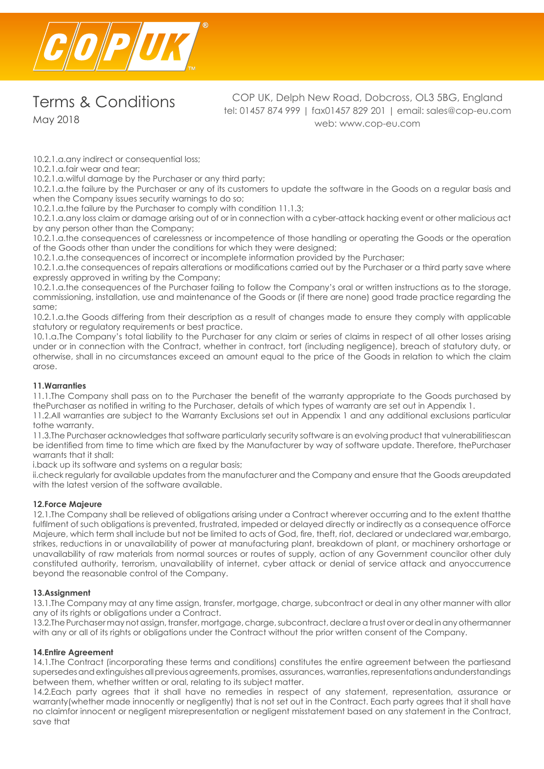

May 2018

COP UK, Delph New Road, Dobcross, OL3 5BG, England tel: 01457 874 999 | fax01457 829 201 | email: sales@cop-eu.com web: www.cop-eu.com

10.2.1.a.any indirect or consequential loss;

10.2.1.a.fair wear and tear;

10.2.1.a.wilful damage by the Purchaser or any third party;

10.2.1.a.the failure by the Purchaser or any of its customers to update the software in the Goods on a regular basis and when the Company issues security warnings to do so;

10.2.1.a.the failure by the Purchaser to comply with condition 11.1.3;

10.2.1.a.any loss claim or damage arising out of or in connection with a cyber-attack hacking event or other malicious act by any person other than the Company;

10.2.1.a.the consequences of carelessness or incompetence of those handling or operating the Goods or the operation of the Goods other than under the conditions for which they were designed;

10.2.1.a.the consequences of incorrect or incomplete information provided by the Purchaser;

10.2.1.a.the consequences of repairs alterations or modifications carried out by the Purchaser or a third party save where expressly approved in writing by the Company;

10.2.1.a.the consequences of the Purchaser failing to follow the Company's oral or written instructions as to the storage, commissioning, installation, use and maintenance of the Goods or (if there are none) good trade practice regarding the same;

10.2.1.a.the Goods differing from their description as a result of changes made to ensure they comply with applicable statutory or regulatory requirements or best practice.

10.1.a.The Company's total liability to the Purchaser for any claim or series of claims in respect of all other losses arising under or in connection with the Contract, whether in contract, tort (including negligence), breach of statutory duty, or otherwise, shall in no circumstances exceed an amount equal to the price of the Goods in relation to which the claim arose.

## **11.Warranties**

11.1.The Company shall pass on to the Purchaser the benefit of the warranty appropriate to the Goods purchased by thePurchaser as notified in writing to the Purchaser, details of which types of warranty are set out in Appendix 1.

11.2.All warranties are subject to the Warranty Exclusions set out in Appendix 1 and any additional exclusions particular tothe warranty.

11.3.The Purchaser acknowledges that software particularly security software is an evolving product that vulnerabilitiescan be identified from time to time which are fixed by the Manufacturer by way of software update. Therefore, thePurchaser warrants that it shall:

i.back up its software and systems on a regular basis;

ii.check regularly for available updates from the manufacturer and the Company and ensure that the Goods areupdated with the latest version of the software available.

## **12.Force Majeure**

12.1.The Company shall be relieved of obligations arising under a Contract wherever occurring and to the extent thatthe fulfilment of such obligations is prevented, frustrated, impeded or delayed directly or indirectly as a consequence ofForce Majeure, which term shall include but not be limited to acts of God, fire, theft, riot, declared or undeclared war,embargo, strikes, reductions in or unavailability of power at manufacturing plant, breakdown of plant, or machinery orshortage or unavailability of raw materials from normal sources or routes of supply, action of any Government councilor other duly constituted authority, terrorism, unavailability of internet, cyber attack or denial of service attack and anyoccurrence beyond the reasonable control of the Company.

## **13.Assignment**

13.1.The Company may at any time assign, transfer, mortgage, charge, subcontract or deal in any other manner with allor any of its rights or obligations under a Contract.

13.2.The Purchaser may not assign, transfer, mortgage, charge, subcontract, declare a trust over or deal in any othermanner with any or all of its rights or obligations under the Contract without the prior written consent of the Company.

#### **14.Entire Agreement**

14.1.The Contract (incorporating these terms and conditions) constitutes the entire agreement between the partiesand supersedes and extinguishes all previous agreements, promises, assurances, warranties, representations andunderstandings between them, whether written or oral, relating to its subject matter.

14.2.Each party agrees that it shall have no remedies in respect of any statement, representation, assurance or warranty(whether made innocently or negligently) that is not set out in the Contract. Each party agrees that it shall have no claimfor innocent or negligent misrepresentation or negligent misstatement based on any statement in the Contract, save that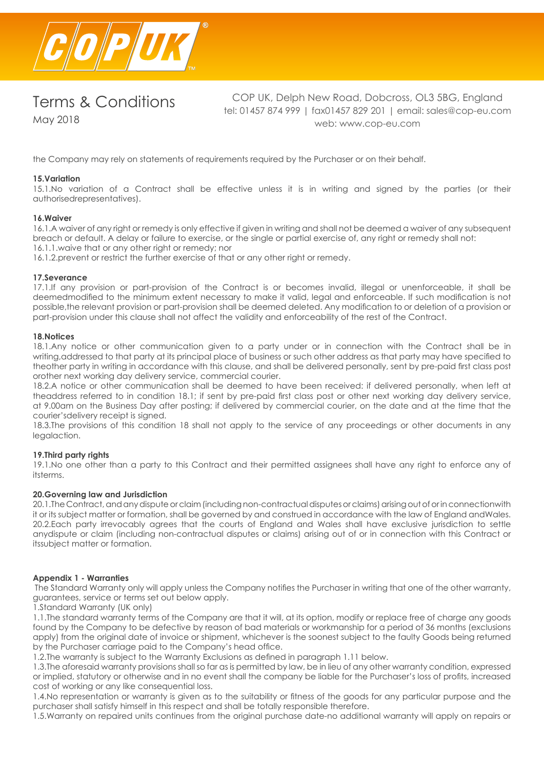

May 2018

COP UK, Delph New Road, Dobcross, OL3 5BG, England tel: 01457 874 999 | fax01457 829 201 | email: sales@cop-eu.com web: www.cop-eu.com

the Company may rely on statements of requirements required by the Purchaser or on their behalf.

## **15.Variation**

15.1.No variation of a Contract shall be effective unless it is in writing and signed by the parties (or their authorisedrepresentatives).

#### **16.Waiver**

16.1.A waiver of any right or remedy is only effective if given in writing and shall not be deemed a waiver of any subsequent breach or default. A delay or failure to exercise, or the single or partial exercise of, any right or remedy shall not: 16.1.1.waive that or any other right or remedy; nor

16.1.2.prevent or restrict the further exercise of that or any other right or remedy.

#### **17.Severance**

17.1.If any provision or part-provision of the Contract is or becomes invalid, illegal or unenforceable, it shall be deemedmodified to the minimum extent necessary to make it valid, legal and enforceable. If such modification is not possible,the relevant provision or part-provision shall be deemed deleted. Any modification to or deletion of a provision or part-provision under this clause shall not affect the validity and enforceability of the rest of the Contract.

#### **18.Notices**

18.1.Any notice or other communication given to a party under or in connection with the Contract shall be in writing,addressed to that party at its principal place of business or such other address as that party may have specified to theother party in writing in accordance with this clause, and shall be delivered personally, sent by pre-paid first class post orother next working day delivery service, commercial courier.

18.2.A notice or other communication shall be deemed to have been received: if delivered personally, when left at theaddress referred to in condition 18.1; if sent by pre-paid first class post or other next working day delivery service, at 9.00am on the Business Day after posting; if delivered by commercial courier, on the date and at the time that the courier'sdelivery receipt is signed.

18.3.The provisions of this condition 18 shall not apply to the service of any proceedings or other documents in any legalaction.

#### **19.Third party rights**

19.1.No one other than a party to this Contract and their permitted assignees shall have any right to enforce any of itsterms.

#### **20.Governing law and Jurisdiction**

20.1.The Contract, and any dispute or claim (including non-contractual disputes or claims) arising out of or in connectionwith it or its subject matter or formation, shall be governed by and construed in accordance with the law of England andWales. 20.2.Each party irrevocably agrees that the courts of England and Wales shall have exclusive jurisdiction to settle anydispute or claim (including non-contractual disputes or claims) arising out of or in connection with this Contract or itssubject matter or formation.

#### **Appendix 1 - Warranties**

 The Standard Warranty only will apply unless the Company notifies the Purchaser in writing that one of the other warranty, guarantees, service or terms set out below apply.

1.Standard Warranty (UK only)

1.1.The standard warranty terms of the Company are that it will, at its option, modify or replace free of charge any goods found by the Company to be defective by reason of bad materials or workmanship for a period of 36 months (exclusions apply) from the original date of invoice or shipment, whichever is the soonest subject to the faulty Goods being returned by the Purchaser carriage paid to the Company's head office.

1.2.The warranty is subject to the Warranty Exclusions as defined in paragraph 1.11 below.

1.3.The aforesaid warranty provisions shall so far as is permitted by law, be in lieu of any other warranty condition, expressed or implied, statutory or otherwise and in no event shall the company be liable for the Purchaser's loss of profits, increased cost of working or any like consequential loss.

1.4.No representation or warranty is given as to the suitability or fitness of the goods for any particular purpose and the purchaser shall satisfy himself in this respect and shall be totally responsible therefore.

1.5.Warranty on repaired units continues from the original purchase date-no additional warranty will apply on repairs or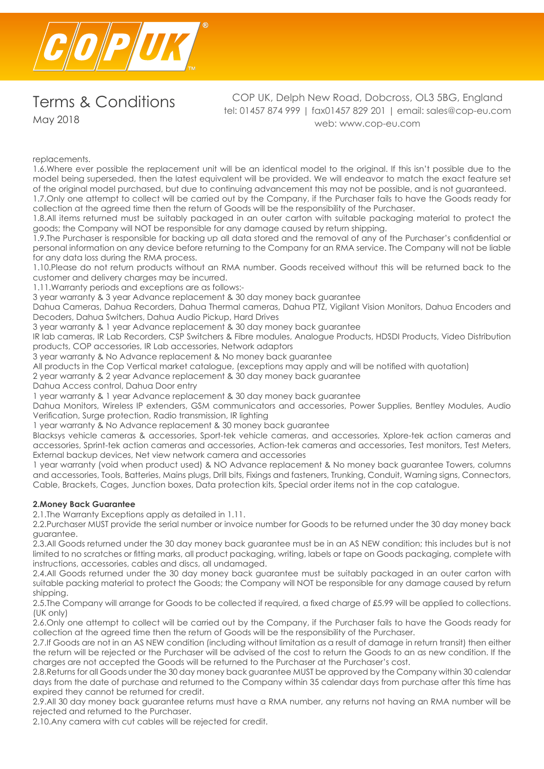

COP UK, Delph New Road, Dobcross, OL3 5BG, England tel: 01457 874 999 | fax01457 829 201 | email: sales@cop-eu.com web: www.cop-eu.com

replacements.

1.6.Where ever possible the replacement unit will be an identical model to the original. If this isn't possible due to the model being superseded, then the latest equivalent will be provided. We will endeavor to match the exact feature set of the original model purchased, but due to continuing advancement this may not be possible, and is not guaranteed. 1.7.Only one attempt to collect will be carried out by the Company, if the Purchaser fails to have the Goods ready for collection at the agreed time then the return of Goods will be the responsibility of the Purchaser.

1.8.All items returned must be suitably packaged in an outer carton with suitable packaging material to protect the goods; the Company will NOT be responsible for any damage caused by return shipping.

1.9.The Purchaser is responsible for backing up all data stored and the removal of any of the Purchaser's confidential or personal information on any device before returning to the Company for an RMA service. The Company will not be liable for any data loss during the RMA process.

1.10.Please do not return products without an RMA number. Goods received without this will be returned back to the customer and delivery charges may be incurred.

1.11.Warranty periods and exceptions are as follows:-

3 year warranty & 3 year Advance replacement & 30 day money back guarantee

Dahua Cameras, Dahua Recorders, Dahua Thermal cameras, Dahua PTZ, Vigilant Vision Monitors, Dahua Encoders and Decoders, Dahua Switchers, Dahua Audio Pickup, Hard Drives

3 year warranty & 1 year Advance replacement & 30 day money back guarantee

IR lab cameras, IR Lab Recorders, CSP Switchers & Fibre modules, Analogue Products, HDSDI Products, Video Distribution products, COP accessories, IR Lab accessories, Network adaptors

3 year warranty & No Advance replacement & No money back guarantee

All products in the Cop Vertical market catalogue, (exceptions may apply and will be notified with quotation)

2 year warranty & 2 year Advance replacement & 30 day money back guarantee

Dahua Access control, Dahua Door entry

1 year warranty & 1 year Advance replacement & 30 day money back guarantee

Dahua Monitors, Wireless IP extenders, GSM communicators and accessories, Power Supplies, Bentley Modules, Audio Verification, Surge protection, Radio transmission, IR lighting

1 year warranty & No Advance replacement & 30 money back guarantee

Blacksys vehicle cameras & accessories, Sport-tek vehicle cameras, and accessories, Xplore-tek action cameras and accessories, Sprint-tek action cameras and accessories, Action-tek cameras and accessories, Test monitors, Test Meters, External backup devices, Net view network camera and accessories

1 year warranty (void when product used) & NO Advance replacement & No money back guarantee Towers, columns and accessories, Tools, Batteries, Mains plugs, Drill bits, Fixings and fasteners, Trunking, Conduit, Warning signs, Connectors, Cable, Brackets, Cages, Junction boxes, Data protection kits, Special order items not in the cop catalogue.

#### **2.Money Back Guarantee**

2.1.The Warranty Exceptions apply as detailed in 1.11.

2.2.Purchaser MUST provide the serial number or invoice number for Goods to be returned under the 30 day money back guarantee.

2.3.All Goods returned under the 30 day money back guarantee must be in an AS NEW condition; this includes but is not limited to no scratches or fitting marks, all product packaging, writing, labels or tape on Goods packaging, complete with instructions, accessories, cables and discs, all undamaged.

2.4.All Goods returned under the 30 day money back guarantee must be suitably packaged in an outer carton with suitable packing material to protect the Goods; the Company will NOT be responsible for any damage caused by return shipping.

2.5.The Company will arrange for Goods to be collected if required, a fixed charge of £5.99 will be applied to collections. (UK only)

2.6.Only one attempt to collect will be carried out by the Company, if the Purchaser fails to have the Goods ready for collection at the agreed time then the return of Goods will be the responsibility of the Purchaser.

2.7.If Goods are not in an AS NEW condition (including without limitation as a result of damage in return transit) then either the return will be rejected or the Purchaser will be advised of the cost to return the Goods to an as new condition. If the charges are not accepted the Goods will be returned to the Purchaser at the Purchaser's cost.

2.8.Returns for all Goods under the 30 day money back guarantee MUST be approved by the Company within 30 calendar days from the date of purchase and returned to the Company within 35 calendar days from purchase after this time has expired they cannot be returned for credit.

2.9.All 30 day money back guarantee returns must have a RMA number, any returns not having an RMA number will be rejected and returned to the Purchaser.

2.10.Any camera with cut cables will be rejected for credit.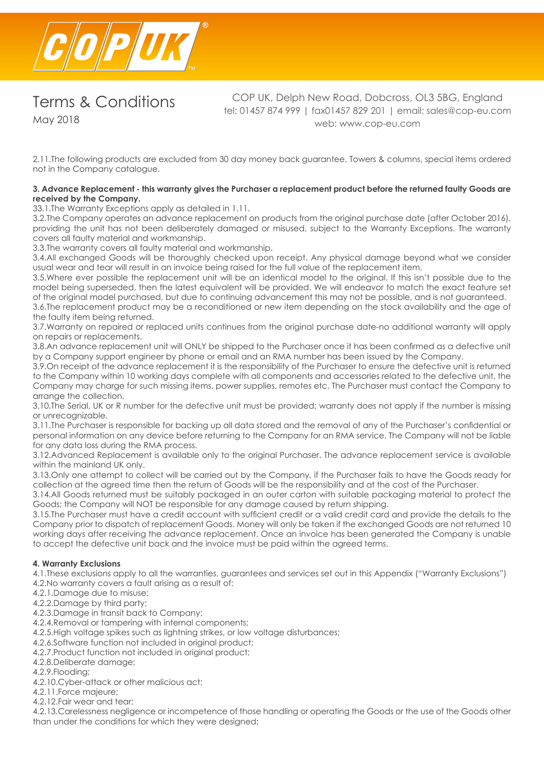

May 2018

COP UK, Delph New Road, Dobcross, OL3 5BG, England tel: 01457 874 999 | fax01457 829 201 | email: sales@cop-eu.com web: www.cop-eu.com

2.11.The following products are excluded from 30 day money back guarantee, Towers & columns, special items ordered not in the Company catalogue.

## **3. Advance Replacement - this warranty gives the Purchaser a replacement product before the returned faulty Goods are received by the Company.**

33.1.The Warranty Exceptions apply as detailed in 1.11.

3.2.The Company operates an advance replacement on products from the original purchase date (after October 2016), providing the unit has not been deliberately damaged or misused, subject to the Warranty Exceptions. The warranty covers all faulty material and workmanship.

3.3.The warranty covers all faulty material and workmanship.

3.4.All exchanged Goods will be thoroughly checked upon receipt. Any physical damage beyond what we consider usual wear and tear will result in an invoice being raised for the full value of the replacement item.

3.5.Where ever possible the replacement unit will be an identical model to the original. If this isn't possible due to the model being superseded, then the latest equivalent will be provided. We will endeavor to match the exact feature set of the original model purchased, but due to continuing advancement this may not be possible, and is not guaranteed.

3.6.The replacement product may be a reconditioned or new item depending on the stock availability and the age of the faulty item being returned.

3.7.Warranty on repaired or replaced units continues from the original purchase date-no additional warranty will apply on repairs or replacements.

3.8.An advance replacement unit will ONLY be shipped to the Purchaser once it has been confirmed as a defective unit by a Company support engineer by phone or email and an RMA number has been issued by the Company.

3.9.On receipt of the advance replacement it is the responsibility of the Purchaser to ensure the defective unit is returned to the Company within 10 working days complete with all components and accessories related to the defective unit, the Company may charge for such missing items, power supplies, remotes etc. The Purchaser must contact the Company to arrange the collection.

3.10.The Serial, UK or R number for the defective unit must be provided; warranty does not apply if the number is missing or unrecognizable.

3.11.The Purchaser is responsible for backing up all data stored and the removal of any of the Purchaser's confidential or personal information on any device before returning to the Company for an RMA service. The Company will not be liable for any data loss during the RMA process.

3.12.Advanced Replacement is available only to the original Purchaser. The advance replacement service is available within the mainland UK only.

3.13.Only one attempt to collect will be carried out by the Company, if the Purchaser fails to have the Goods ready for collection at the agreed time then the return of Goods will be the responsibility and at the cost of the Purchaser.

3.14.All Goods returned must be suitably packaged in an outer carton with suitable packaging material to protect the Goods; the Company will NOT be responsible for any damage caused by return shipping.

3.15.The Purchaser must have a credit account with sufficient credit or a valid credit card and provide the details to the Company prior to dispatch of replacement Goods. Money will only be taken if the exchanged Goods are not returned 10 working days after receiving the advance replacement. Once an invoice has been generated the Company is unable to accept the defective unit back and the invoice must be paid within the agreed terms.

## **4. Warranty Exclusions**

4.1.These exclusions apply to all the warranties, guarantees and services set out in this Appendix ("Warranty Exclusions")

- 4.2.No warranty covers a fault arising as a result of:
- 4.2.1.Damage due to misuse;
- 4.2.2.Damage by third party;
- 4.2.3.Damage in transit back to Company;
- 4.2.4.Removal or tampering with internal components;
- 4.2.5.High voltage spikes such as lightning strikes, or low voltage disturbances;
- 4.2.6.Software function not included in original product;
- 4.2.7.Product function not included in original product;
- 4.2.8.Deliberate damage;
- 4.2.9.Flooding;
- 4.2.10.Cyber-attack or other malicious act;
- 4.2.11.Force majeure;
- 4.2.12.Fair wear and tear;

4.2.13.Carelessness negligence or incompetence of those handling or operating the Goods or the use of the Goods other than under the conditions for which they were designed;